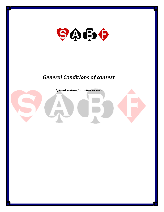

# *General Conditions of contest*

*Special edition for online events*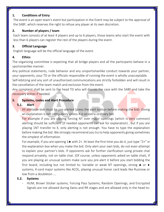#### **1. Conditions of Entry**

The event is an open team's event but participation in the Event may be subject to the approval of the SABF, which reserves the right to refuse any player at its own discretion.

#### **2. Number of players / team**

Each team consists of at least 4 players and up to 6 players, those teams who start the event with less than 6 players can register the rest of the players during the event.

#### **3. Official Language**

English language will be the official language of the event.

#### **4. Ethics**

The organizing committee is expecting that all bridge players and all the participants behave in a sportsmanlike manner.

Any political statements, rude behavior and any unsportsmanlike conduct towards your partner, your opponents, your TD or the officials responsible of running the event is wholly unacceptable. Self-kibitzing and any sort of unauthorized communications are strictly forbidden and will result in the cancellation of the team match and exclusion from the event.

Any complaint shall be sent to the head TD who will discuss the case with the SABF and take the necessary action if needed.

#### **5. Systems, codes and Alert Procedure**

## **5.1. Alert**

All alertable bids must be pre-alerted (press the alert button before making the bid). Giving an explanation is not compulsory unless it is an extra-ordinary bid.

For example if you are playing forcing NT over major openings (which is very common) alerting should be sufficient (if needed opponents can ask for explanation) , but if you are playing 1NT transfer to X, only alerting is not enough. You have to type the explanation before making the bid. We strongly recommend you try to help opponents giving sometimes the simplest of information.

For example, if you are opening  $1\clubsuit$  with 2+. At least the first time you do it, just type "2+" in the explanation box when you make the bid. Only alert your own bids, do not even attempt to explain your partner's bids. If opponents ask for further clarification using private chat respond privately, not on table chat. (Of course, unless opponents asked on table chat), If you are playing an unusual system make sure you pre-alert it before you start bidding the first board, including but not limited to: Variable or weak NT openings, strong  $\clubsuit$  or  $\blacklozenge$ systems, 4-card major systems like ACOL, playing unusual honor card leads like Rusinow or low from a doubleton ….

#### **5.2. Systems**

- HUM, Brown Sticker systems, Forcing Pass Systems, Random Openings, and Encrypted Signals are not allowed during Swiss and RR stages and are allowed only in the head-to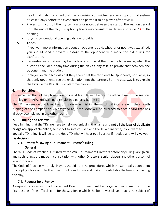head final match provided that the organizing committee receive a copy of that system at least 5 days before the event start and permit it to be played after review.

- Players can't consult their system cards or notes between the start of the auction period until the end of the play. Exception: players may consult their defense notes vs  $2 \cdot \text{multi}$ opening.
- psychic conventional opening bids are forbidden

# **5.3. Codes**

- If you want more information about an opponent's bid, whether or not it was explained, you should send a private message to the opponent who made the bid asking for clarification.
- Requesting information may be made at any time, at the time the bid is made, when the auction concludes, or any time during the play as long as it is a private chat between one opponent and the bidder.
- If players explain bids via chat they should set the recipients to Opponents, not Table, so that only opponents see the explanation, not the partner. But the best way is to explain the bids via the REALBRIDGE alert mechanism.

# **6. Penalties**

It is expected that all the players are online at least 10 min before the official time of the session. Late log on to REALBRIDGE could results in a penalty by the TD

The TD may remove un-played boards if a delay in finishing the match will interfere with the smooth running of the competition. An assigned adjusted score will be awarded to each board that has already been played in the other room.

# **7. Ruling and reviews**

Keep in mind that the TDs are here to help you enjoying the game and not all the laws of duplicate bridge are applicable online, so try not to give yourself and the TD a hard time, if you want to appeal a TD ruling, it will be to the Head TD who will hear to all parties if needed and will give you his decision

# 7.1. Review following a Tournament Director's ruling General

The WBF Code of Practice is utilized by the WBF Tournament Directors before any rulings are given, and such rulings are made in consultation with other Directors, senior players and other personnel as appropriate.

The Code of Practice will apply. Players should note the procedures which the Code calls upon them to adopt (as, for example, that they should randomize and make unpredictable the tempo of passing the tray).

# 7.2. Request for a Review

A request for a review of a Tournament Director's ruling must be lodged within 30 minutes of the first posting of the official score for the Session in which the board was played that is the subject of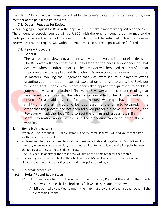the ruling. All such requests must be lodged by the team's Captain or his designee, or by one member of the pair in the Pairs events.

#### 7.3. Deposit Requests for Review

When lodging a Request for Review the appellant must make a monetary deposit with the SABF. The amount of deposit required will be R 300, with the exact amount to be informed to the participants before the start of the event. This deposit will be refunded unless the Reviewer determines that the request was without merit, in which case the deposit will be forfeited.

# 7.4. Review Procedure

## General

The case will be reviewed by a person who was not involved in the original decision. The Reviewer will check that the TD has gathered the necessary evidence of what occurred when the infraction arose. The Reviewer will then need to be satisfied that the correct law was applied and that other TDs were consulted where appropriate. In matters involving the judgement that was exercised by a player following unauthorized information, incorrect explanation or failure to alert, the Reviewer will clarify that suitable players have been asked appropriate questions to enable a judgmental view to be obtained. Finally, the Reviewer will check that the ruling that was issued based upon all the information available to the TDs was within the bounds of reasonableness. The fact that the Reviewer might have determined a slightly different ruling would not be good reason for the ruling to be varied. In the event that the process had not been followed properly in some material way, the Reviewer will ask the Head TD to correct the failings and issue a new ruling. More information about Reviews and the procedure can be found on the WBF website.

#### **8. Home & Visiting teams**

- When you log in to the REALBRIDGE game (using the game link), you will find your team name written in one of the Tables.
- All team members are required to sit at their designated table (all together) in Pairs NS and EW, later on, when we start the session, the software will automatically move the EW pairs between the tables according to the schedule of play.
- The RR Schedule of play or the Swiss draw will define the home team for each match.
- The visiting team has to sit first at their table (in Pairs NS and EW) and the Home team has the right to have a look at the visiting team and sit its pairs accordingly.

## **9. Tie-break procedure**

## **9.1. Swiss / Round Robin Stage**

- 9.1.1. If two teams are tied with the same number of Victory Points at the end of the round‐ robin / Swiss, the tie shall be broken as follows (in the sequence shown):
	- a) IMPs earned by the tied teams in the match(s) they played against each other. If the tie remains, then: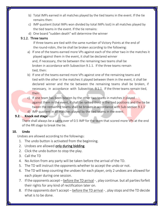- b) Total IMPs earned in all matches played by the tied teams in the event. If the tie remains then:
- c) IMP quotient (total IMPs won divided by total IMPs lost) in all matches played by the tied teams in the event. If the tie remains:
- d) One board "sudden death" will determine the winner

## 9.1.2. Three teams

If three teams are tied with the same number of Victory Points at the end of the round‐robin, the tie shall be broken according to the following:

- a) If one of the teams earned more VPs against each of the other two in the matches it played against them in the event, it shall be declared winner and, if necessary, the tie between the remaining two teams shall be broken in accordance with Subsection 9.1.1. If the three teams remain tied, then:
- b) If one of the teams earned more VPs against one of the remaining teams and tied with the other in the matches it played between them in the event, it shall be declared winner and the tie between the remaining teams shall be broken, if necessary, in accordance with Subsection 9.1.1. If the three teams remain tied, then:
- c) If one team has been beaten by the other two teams in matches it played against them in the event, it shall be ranked third in the tied positions and the tie be tween the remaining teams shall be broken in accordance with Sub-section 9.1.1
- d) IMP quotient in all matches played by the tied teams in the event.

## **9.2. Knock out stage**

There shall always be a carry-over of 0.5 IMP for the team that scored more VPs at the end of the RR stage to break the tie.

## **10. Undo**

Undoes are allowed according to the followings:

- 1. The undo button is activated from the beginning.
- 2. Undoes are allowed only during bidding.
- 2. Click the undo button to stop the play.
- 3. Call the TD
- 4. No Action from any party will be taken before the arrival of the TD.
- 5. The TD will instruct the opponents whether to accept the undo or not.
- 6. The TD will keep counting the undoes for each player, only 2 undoes are allowed for each player during one session.
- 7. If the opponents accept before the TD arrival , play continue. but all parties forfeit their rights for any kind of rectification later on.
- 8. If the opponents don't accept before the TD arrival , play stops and the TD decide what is to be done.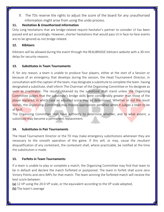9. The TDs reserve the rights to adjust the score of the board for any unauthorised information might arise from using the undo process.

## **11. Hesitation & Unauthorized information**

Only Long hesitations that are bridge-related require hesitator's partner to consider UI has been passed and act accordingly. However, shorter hesitations that would pass UI in face-to-face events are to be ignored as not bridge related.

## **12. Kibitzers**

Kibitzers will be allowed during the event through the REALBRIDGE kibitzers website with a 30 min delay for security reasons.

# **13. Substitutes in Team Tournaments**

If, for any reason, a team is unable to produce four players, either at the start of a Session or because of an emergency that develops during the session, the Head Tournament Director, in consultation with the captain of the team, may designate a substitute to complete the team. having designated a substitute, shall inform The Chairman of the Organizing Committee or his designee as soon as practicable. The results obtained by the substitute shall stand unless the Organizing Committee judges that the substitute's bridge skills were considerably greater than those of the player replaced, in which case an adjusted score may be determined. Whether or not the result stands, the Organizing Committee may impose appropriate penalties when it judges a team to be at fault.

The Organizing Committee shall have authority to determine whether, and to what extent, a substitute may become a permanent replacement.

## **14. Substitutes in Pair Tournaments**

The Head Tournament Director or the TD may make emergency substitutions whenever they are necessary to the smooth operation of the game. If this will, or may, cause the resultant disqualification of any contestant, the contestant shall, where practicable, be notified at the time the substitution is made.

# **15. Forfeits in Team Tournaments**

If a team is unable to play or complete a match, the Organizing Committee may find that team to be in default and declare the match forfeited or postponed. The team in forfeit shall score zero Victory Points and zero IMPs for that match. The team winning the forfeited match will receive the best score between:

(a) 12 VP using the 20-0 VP scale, or the equivalent according to the VP scale adopted,

(b) The team's average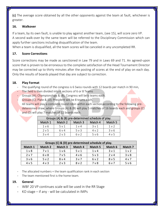(c) The average score obtained by all the other opponents against the team at fault, whichever is greater.

## **16. Walkover**

If a team, by its own fault, is unable to play against another team, (see 15), will score zero VP. A second walk-over by the same team will be referred to the Disciplinary Commission which can apply further sanctions including disqualification of the team.

When a team is disqualified, all the team scores will be canceled in any uncompleted RR.

## **17. Score Corrections**

Score corrections may be made as sanctioned in Law 79 and in Laws 69 and 71. An agreed-upon score that is proven to be erroneous to the complete satisfaction of the Head Tournament Director may be corrected up to thirty minutes after the posting of scores at the end of play on each day. Only the results of boards played that day are subject to correction.

## **18. Play Format**

- The qualifying round of the congress is 6 Swiss rounds with 12 boards per match in 90 min,
- The field is then divided into 4 sections of 6 or 8 Teams
- Groups (A); Championships & (B); Congress will be 6 teams each.
- Groups (C); Plate & (D); President will be 8 teams each.
	- All teams will play a complete round robin within each section according to the following predetermined draw, where Groups (A) & (B) will play 5 matches of 16 boards each and groups (C) and (D) will play 7 matches of 12 boards each.

| Groups (A) & (B) pre-determined schedule of play. |            |            |            |                  |  |  |  |
|---------------------------------------------------|------------|------------|------------|------------------|--|--|--|
| Match 1                                           | Match 2    | Match 3    | Match 4    | Match 5          |  |  |  |
| 1 v 6                                             | $5 \vee 1$ | $1 \vee 4$ | 3v1        | 1 <sub>v</sub>   |  |  |  |
| 2 v 5                                             | 6 v 4      | $5 \vee 3$ | $4 \vee 2$ | 3 <sub>v</sub> 6 |  |  |  |
| $3 \vee 4$                                        | $2 \vee 3$ | 6 v 2      | 5 v 6      | 4 v 5            |  |  |  |

| Groups (C) & (D) pre-determined schedule of play. |                  |                  |         |                |                  |                |  |  |
|---------------------------------------------------|------------------|------------------|---------|----------------|------------------|----------------|--|--|
| Match 1                                           | Match 2          | Match 3          | Match 4 | Match 5        | Match 6          | Match 7        |  |  |
| 1 <sub>v</sub>                                    | 7 <sub>v</sub> 1 | 1 <sub>v</sub> 6 | 5 v 1   | 1 <sub>v</sub> | 3 <sub>v</sub> 1 | 1 <sub>v</sub> |  |  |
| 2 <sub>v</sub>                                    | 6 <sub>v</sub>   | 7 <sub>v</sub> 5 | 4 v 6   | $5v$ 3         | 2 v 4            | 3 <sub>v</sub> |  |  |
| 3 v 6                                             | 5 v 2            | 8 <sub>v</sub> 4 | 3v7     | 6v2            | 8 <sub>v</sub> 5 | 4 v 7          |  |  |
| 4 v 5                                             | 4 v 3            | 2 <sub>v</sub>   | 8v2     | 7 <sub>v</sub> | 6 v 7            | 5 v 6          |  |  |

- The allocated numbers = the team qualification rank in each section
- The team mentioned first is the home team.

## **19. General**

- WBF 20 VP continues scale will be used in the RR Stage
- $KO$  stage if any will be calculated in IMPs